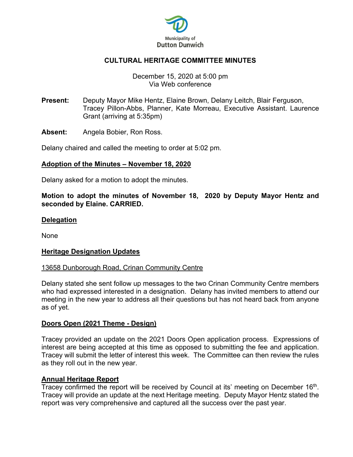

# **CULTURAL HERITAGE COMMITTEE MINUTES**

## December 15, 2020 at 5:00 pm Via Web conference

**Present:** Deputy Mayor Mike Hentz, Elaine Brown, Delany Leitch, Blair Ferguson, Tracey Pillon-Abbs, Planner, Kate Morreau, Executive Assistant. Laurence Grant (arriving at 5:35pm)

**Absent:** Angela Bobier, Ron Ross.

Delany chaired and called the meeting to order at 5:02 pm.

## **Adoption of the Minutes – November 18, 2020**

Delany asked for a motion to adopt the minutes.

**Motion to adopt the minutes of November 18, 2020 by Deputy Mayor Hentz and seconded by Elaine. CARRIED.** 

#### **Delegation**

None

#### **Heritage Designation Updates**

#### 13658 Dunborough Road, Crinan Community Centre

Delany stated she sent follow up messages to the two Crinan Community Centre members who had expressed interested in a designation. Delany has invited members to attend our meeting in the new year to address all their questions but has not heard back from anyone as of yet.

#### **Doors Open (2021 Theme - Design)**

Tracey provided an update on the 2021 Doors Open application process. Expressions of interest are being accepted at this time as opposed to submitting the fee and application. Tracey will submit the letter of interest this week. The Committee can then review the rules as they roll out in the new year.

#### **Annual Heritage Report**

Tracey confirmed the report will be received by Council at its' meeting on December 16<sup>th</sup>. Tracey will provide an update at the next Heritage meeting. Deputy Mayor Hentz stated the report was very comprehensive and captured all the success over the past year.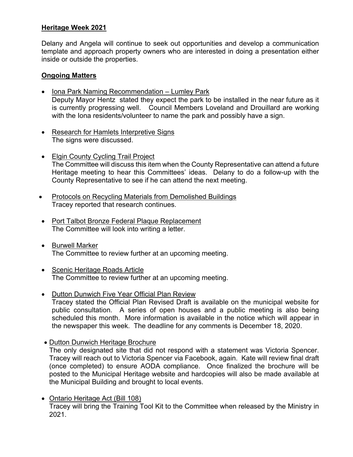# **Heritage Week 2021**

Delany and Angela will continue to seek out opportunities and develop a communication template and approach property owners who are interested in doing a presentation either inside or outside the properties.

# **Ongoing Matters**

- Iona Park Naming Recommendation Lumley Park Deputy Mayor Hentz stated they expect the park to be installed in the near future as it is currently progressing well. Council Members Loveland and Drouillard are working with the Iona residents/volunteer to name the park and possibly have a sign.
- Research for Hamlets Interpretive Signs The signs were discussed.
- Elgin County Cycling Trail Project The Committee will discuss this item when the County Representative can attend a future Heritage meeting to hear this Committees' ideas. Delany to do a follow-up with the County Representative to see if he can attend the next meeting.
- Protocols on Recycling Materials from Demolished Buildings Tracey reported that research continues.
- Port Talbot Bronze Federal Plaque Replacement The Committee will look into writing a letter.
- Burwell Marker The Committee to review further at an upcoming meeting.
- Scenic Heritage Roads Article The Committee to review further at an upcoming meeting.
- Dutton Dunwich Five Year Official Plan Review Tracey stated the Official Plan Revised Draft is available on the municipal website for public consultation. A series of open houses and a public meeting is also being scheduled this month. More information is available in the notice which will appear in the newspaper this week. The deadline for any comments is December 18, 2020.
- Dutton Dunwich Heritage Brochure

The only designated site that did not respond with a statement was Victoria Spencer. Tracey will reach out to Victoria Spencer via Facebook, again. Kate will review final draft (once completed) to ensure AODA compliance. Once finalized the brochure will be posted to the Municipal Heritage website and hardcopies will also be made available at the Municipal Building and brought to local events.

• Ontario Heritage Act (Bill 108) Tracey will bring the Training Tool Kit to the Committee when released by the Ministry in 2021.